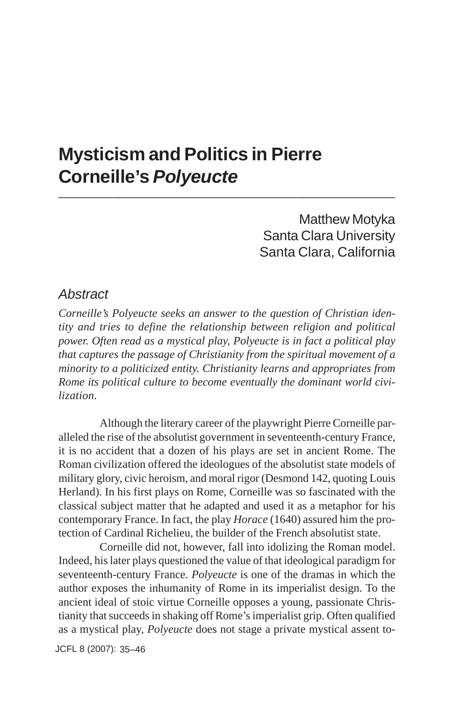## **Mysticism and Politics in Pierre Corneille's** *Polyeucte* **\_\_\_\_\_\_\_\_\_\_\_\_\_\_\_\_\_\_\_\_\_\_\_\_\_\_\_\_\_\_\_\_\_**

Matthew Motyka Santa Clara University Santa Clara, California

### *Abstract*

*Corneille's Polyeucte seeks an answer to the question of Christian identity and tries to define the relationship between religion and political power. Often read as a mystical play, Polyeucte is in fact a political play that captures the passage of Christianity from the spiritual movement of a minority to a politicized entity. Christianity learns and appropriates from Rome its political culture to become eventually the dominant world civilization.*

Although the literary career of the playwright Pierre Corneille paralleled the rise of the absolutist government in seventeenth-century France, it is no accident that a dozen of his plays are set in ancient Rome. The Roman civilization offered the ideologues of the absolutist state models of military glory, civic heroism, and moral rigor (Desmond 142, quoting Louis Herland). In his first plays on Rome, Corneille was so fascinated with the classical subject matter that he adapted and used it as a metaphor for his contemporary France. In fact, the play *Horace* (1640) assured him the protection of Cardinal Richelieu, the builder of the French absolutist state.

Corneille did not, however, fall into idolizing the Roman model. Indeed, his later plays questioned the value of that ideological paradigm for seventeenth-century France. *Polyeucte* is one of the dramas in which the author exposes the inhumanity of Rome in its imperialist design. To the ancient ideal of stoic virtue Corneille opposes a young, passionate Christianity that succeeds in shaking off Rome's imperialist grip. Often qualified as a mystical play, *Polyeucte* does not stage a private mystical assent to-

JCFL 8 (2007): 35–46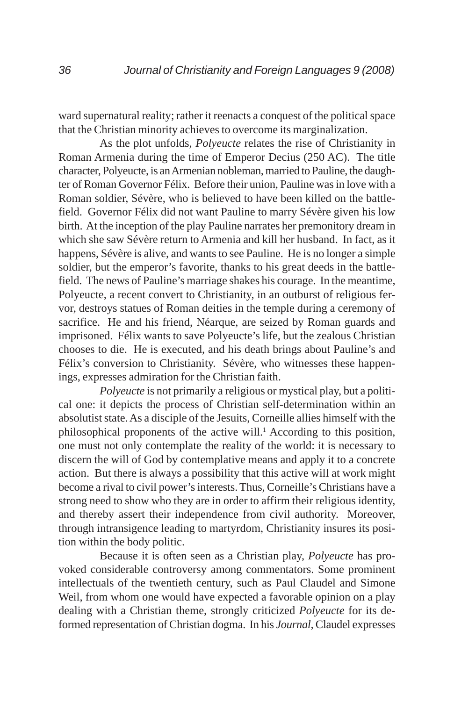ward supernatural reality; rather it reenacts a conquest of the political space that the Christian minority achieves to overcome its marginalization.

As the plot unfolds, *Polyeucte* relates the rise of Christianity in Roman Armenia during the time of Emperor Decius (250 AC). The title character, Polyeucte, is an Armenian nobleman, married to Pauline, the daughter of Roman Governor Félix. Before their union, Pauline was in love with a Roman soldier, Sévère, who is believed to have been killed on the battlefield. Governor Félix did not want Pauline to marry Sévère given his low birth. At the inception of the play Pauline narrates her premonitory dream in which she saw Sévère return to Armenia and kill her husband. In fact, as it happens, Sévère is alive, and wants to see Pauline. He is no longer a simple soldier, but the emperor's favorite, thanks to his great deeds in the battlefield. The news of Pauline's marriage shakes his courage. In the meantime, Polyeucte, a recent convert to Christianity, in an outburst of religious fervor, destroys statues of Roman deities in the temple during a ceremony of sacrifice. He and his friend, Néarque, are seized by Roman guards and imprisoned. Félix wants to save Polyeucte's life, but the zealous Christian chooses to die. He is executed, and his death brings about Pauline's and Félix's conversion to Christianity. Sévère, who witnesses these happenings, expresses admiration for the Christian faith.

*Polyeucte* is not primarily a religious or mystical play, but a political one: it depicts the process of Christian self-determination within an absolutist state. As a disciple of the Jesuits, Corneille allies himself with the philosophical proponents of the active will.<sup>1</sup> According to this position, one must not only contemplate the reality of the world: it is necessary to discern the will of God by contemplative means and apply it to a concrete action. But there is always a possibility that this active will at work might become a rival to civil power's interests. Thus, Corneille's Christians have a strong need to show who they are in order to affirm their religious identity, and thereby assert their independence from civil authority. Moreover, through intransigence leading to martyrdom, Christianity insures its position within the body politic.

Because it is often seen as a Christian play, *Polyeucte* has provoked considerable controversy among commentators. Some prominent intellectuals of the twentieth century, such as Paul Claudel and Simone Weil, from whom one would have expected a favorable opinion on a play dealing with a Christian theme, strongly criticized *Polyeucte* for its deformed representation of Christian dogma. In his *Journal,* Claudel expresses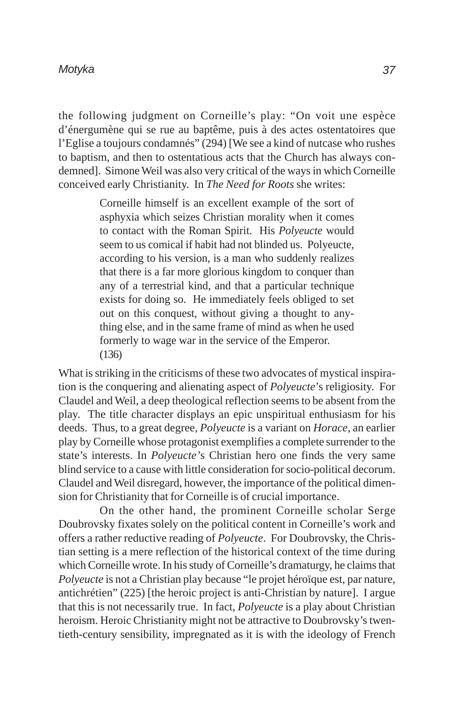the following judgment on Corneille's play: "On voit une espèce d'énergumène qui se rue au baptême, puis à des actes ostentatoires que l'Eglise a toujours condamnés" (294) [We see a kind of nutcase who rushes to baptism, and then to ostentatious acts that the Church has always condemned]. Simone Weil was also very critical of the ways in which Corneille conceived early Christianity. In *The Need for Roots* she writes:

> Corneille himself is an excellent example of the sort of asphyxia which seizes Christian morality when it comes to contact with the Roman Spirit. His *Polyeucte* would seem to us comical if habit had not blinded us. Polyeucte, according to his version, is a man who suddenly realizes that there is a far more glorious kingdom to conquer than any of a terrestrial kind, and that a particular technique exists for doing so. He immediately feels obliged to set out on this conquest, without giving a thought to anything else, and in the same frame of mind as when he used formerly to wage war in the service of the Emperor. (136)

What is striking in the criticisms of these two advocates of mystical inspiration is the conquering and alienating aspect of *Polyeucte*'s religiosity. For Claudel and Weil, a deep theological reflection seems to be absent from the play. The title character displays an epic unspiritual enthusiasm for his deeds. Thus, to a great degree, *Polyeucte* is a variant on *Horace,* an earlier play by Corneille whose protagonist exemplifies a complete surrender to the state's interests. In *Polyeucte'*s Christian hero one finds the very same blind service to a cause with little consideration for socio-political decorum. Claudel and Weil disregard, however, the importance of the political dimension for Christianity that for Corneille is of crucial importance.

On the other hand, the prominent Corneille scholar Serge Doubrovsky fixates solely on the political content in Corneille's work and offers a rather reductive reading of *Polyeucte*. For Doubrovsky, the Christian setting is a mere reflection of the historical context of the time during which Corneille wrote. In his study of Corneille's dramaturgy, he claims that *Polyeucte* is not a Christian play because "le projet héroïque est, par nature, antichrétien" (225) [the heroic project is anti-Christian by nature]. I argue that this is not necessarily true. In fact, *Polyeucte* is a play about Christian heroism. Heroic Christianity might not be attractive to Doubrovsky's twentieth-century sensibility, impregnated as it is with the ideology of French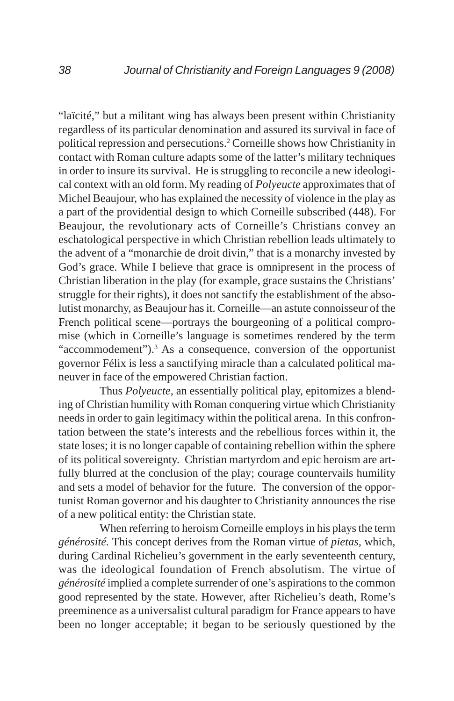"laïcité," but a militant wing has always been present within Christianity regardless of its particular denomination and assured its survival in face of political repression and persecutions.2 Corneille shows how Christianity in contact with Roman culture adapts some of the latter's military techniques in order to insure its survival. He is struggling to reconcile a new ideological context with an old form. My reading of *Polyeucte* approximates that of Michel Beaujour, who has explained the necessity of violence in the play as a part of the providential design to which Corneille subscribed (448). For Beaujour, the revolutionary acts of Corneille's Christians convey an eschatological perspective in which Christian rebellion leads ultimately to the advent of a "monarchie de droit divin," that is a monarchy invested by God's grace. While I believe that grace is omnipresent in the process of Christian liberation in the play (for example, grace sustains the Christians' struggle for their rights), it does not sanctify the establishment of the absolutist monarchy, as Beaujour has it. Corneille—an astute connoisseur of the French political scene—portrays the bourgeoning of a political compromise (which in Corneille's language is sometimes rendered by the term "accommodement").<sup>3</sup> As a consequence, conversion of the opportunist governor Félix is less a sanctifying miracle than a calculated political maneuver in face of the empowered Christian faction.

Thus *Polyeucte,* an essentially political play, epitomizes a blending of Christian humility with Roman conquering virtue which Christianity needs in order to gain legitimacy within the political arena. In this confrontation between the state's interests and the rebellious forces within it, the state loses; it is no longer capable of containing rebellion within the sphere of its political sovereignty. Christian martyrdom and epic heroism are artfully blurred at the conclusion of the play; courage countervails humility and sets a model of behavior for the future. The conversion of the opportunist Roman governor and his daughter to Christianity announces the rise of a new political entity: the Christian state.

When referring to heroism Corneille employs in his plays the term *générosité.* This concept derives from the Roman virtue of *pietas,* which, during Cardinal Richelieu's government in the early seventeenth century, was the ideological foundation of French absolutism. The virtue of *générosité* implied a complete surrender of one's aspirations to the common good represented by the state. However, after Richelieu's death, Rome's preeminence as a universalist cultural paradigm for France appears to have been no longer acceptable; it began to be seriously questioned by the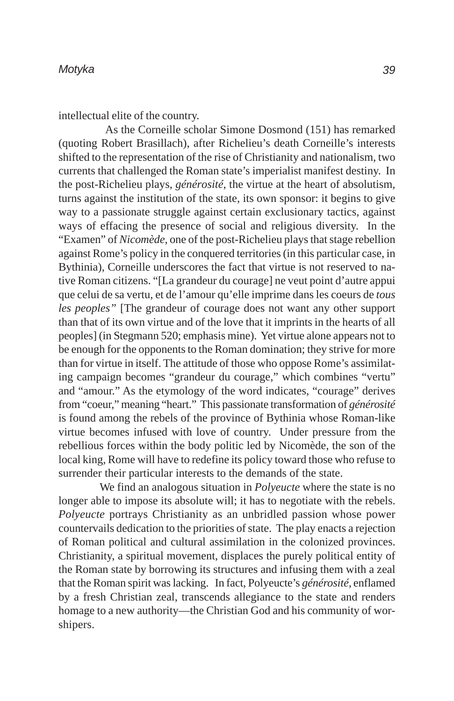intellectual elite of the country.

 As the Corneille scholar Simone Dosmond (151) has remarked (quoting Robert Brasillach), after Richelieu's death Corneille's interests shifted to the representation of the rise of Christianity and nationalism, two currents that challenged the Roman state's imperialist manifest destiny. In the post-Richelieu plays, *générosité*, the virtue at the heart of absolutism, turns against the institution of the state, its own sponsor: it begins to give way to a passionate struggle against certain exclusionary tactics, against ways of effacing the presence of social and religious diversity. In the "Examen" of *Nicomède*, one of the post-Richelieu plays that stage rebellion against Rome's policy in the conquered territories (in this particular case, in Bythinia), Corneille underscores the fact that virtue is not reserved to native Roman citizens. "[La grandeur du courage] ne veut point d'autre appui que celui de sa vertu, et de l'amour qu'elle imprime dans les coeurs de *tous les peoples"* [The grandeur of courage does not want any other support than that of its own virtue and of the love that it imprints in the hearts of all peoples] (in Stegmann 520; emphasis mine). Yet virtue alone appears not to be enough for the opponents to the Roman domination; they strive for more than for virtue in itself. The attitude of those who oppose Rome's assimilating campaign becomes "grandeur du courage," which combines "vertu" and "amour." As the etymology of the word indicates, "courage" derives from "coeur," meaning "heart." This passionate transformation of *générosité* is found among the rebels of the province of Bythinia whose Roman-like virtue becomes infused with love of country. Under pressure from the rebellious forces within the body politic led by Nicomède, the son of the local king, Rome will have to redefine its policy toward those who refuse to surrender their particular interests to the demands of the state.

We find an analogous situation in *Polyeucte* where the state is no longer able to impose its absolute will; it has to negotiate with the rebels. *Polyeucte* portrays Christianity as an unbridled passion whose power countervails dedication to the priorities of state. The play enacts a rejection of Roman political and cultural assimilation in the colonized provinces. Christianity, a spiritual movement, displaces the purely political entity of the Roman state by borrowing its structures and infusing them with a zeal that the Roman spirit was lacking. In fact, Polyeucte's *générosité,* enflamed by a fresh Christian zeal, transcends allegiance to the state and renders homage to a new authority—the Christian God and his community of worshipers.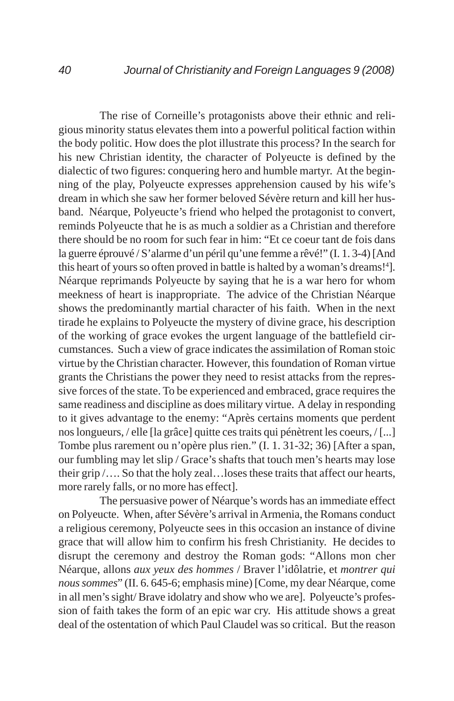The rise of Corneille's protagonists above their ethnic and religious minority status elevates them into a powerful political faction within the body politic. How does the plot illustrate this process? In the search for his new Christian identity, the character of Polyeucte is defined by the dialectic of two figures: conquering hero and humble martyr. At the beginning of the play, Polyeucte expresses apprehension caused by his wife's dream in which she saw her former beloved Sévère return and kill her husband. Néarque, Polyeucte's friend who helped the protagonist to convert, reminds Polyeucte that he is as much a soldier as a Christian and therefore there should be no room for such fear in him: "Et ce coeur tant de fois dans la guerre éprouvé / S'alarme d'un péril qu'une femme a rêvé!" (I. 1. 3-4) [And this heart of yours so often proved in battle is halted by a woman's dreams!<sup>4</sup>]. Néarque reprimands Polyeucte by saying that he is a war hero for whom meekness of heart is inappropriate. The advice of the Christian Néarque shows the predominantly martial character of his faith. When in the next tirade he explains to Polyeucte the mystery of divine grace, his description of the working of grace evokes the urgent language of the battlefield circumstances. Such a view of grace indicates the assimilation of Roman stoic virtue by the Christian character. However, this foundation of Roman virtue grants the Christians the power they need to resist attacks from the repressive forces of the state. To be experienced and embraced, grace requires the same readiness and discipline as does military virtue. A delay in responding to it gives advantage to the enemy: "Après certains moments que perdent nos longueurs, / elle [la grâce] quitte ces traits qui pénètrent les coeurs, / [...] Tombe plus rarement ou n'opère plus rien." (I. 1. 31-32; 36) [After a span, our fumbling may let slip / Grace's shafts that touch men's hearts may lose their grip /…. So that the holy zeal…loses these traits that affect our hearts, more rarely falls, or no more has effect].

The persuasive power of Néarque's words has an immediate effect on Polyeucte. When, after Sévère's arrival in Armenia, the Romans conduct a religious ceremony, Polyeucte sees in this occasion an instance of divine grace that will allow him to confirm his fresh Christianity. He decides to disrupt the ceremony and destroy the Roman gods: "Allons mon cher Néarque, allons *aux yeux des hommes* / Braver l'idôlatrie, et *montrer qui nous sommes*" (II. 6. 645-6; emphasis mine) [Come, my dear Néarque, come in all men's sight/ Brave idolatry and show who we are]. Polyeucte's profession of faith takes the form of an epic war cry. His attitude shows a great deal of the ostentation of which Paul Claudel was so critical. But the reason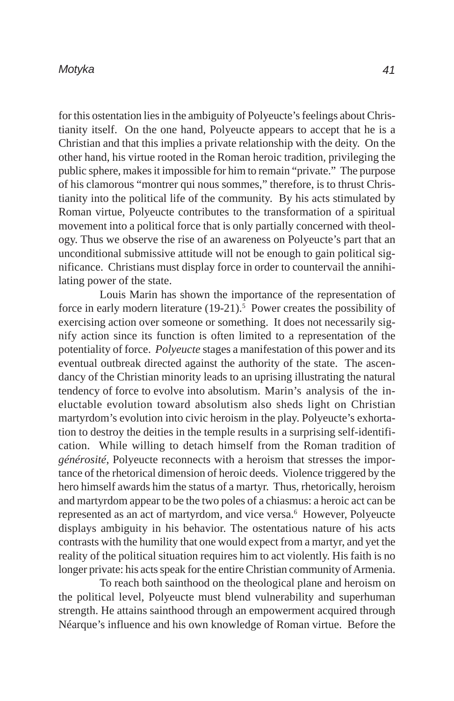#### *Motyka*

for this ostentation lies in the ambiguity of Polyeucte's feelings about Christianity itself. On the one hand, Polyeucte appears to accept that he is a Christian and that this implies a private relationship with the deity. On the other hand, his virtue rooted in the Roman heroic tradition, privileging the public sphere, makes it impossible for him to remain "private." The purpose of his clamorous "montrer qui nous sommes," therefore, is to thrust Christianity into the political life of the community. By his acts stimulated by Roman virtue, Polyeucte contributes to the transformation of a spiritual movement into a political force that is only partially concerned with theology. Thus we observe the rise of an awareness on Polyeucte's part that an unconditional submissive attitude will not be enough to gain political significance. Christians must display force in order to countervail the annihilating power of the state.

Louis Marin has shown the importance of the representation of force in early modern literature  $(19-21)$ .<sup>5</sup> Power creates the possibility of exercising action over someone or something. It does not necessarily signify action since its function is often limited to a representation of the potentiality of force. *Polyeucte* stages a manifestation of this power and its eventual outbreak directed against the authority of the state. The ascendancy of the Christian minority leads to an uprising illustrating the natural tendency of force to evolve into absolutism. Marin's analysis of the ineluctable evolution toward absolutism also sheds light on Christian martyrdom's evolution into civic heroism in the play. Polyeucte's exhortation to destroy the deities in the temple results in a surprising self-identification. While willing to detach himself from the Roman tradition of *générosité*, Polyeucte reconnects with a heroism that stresses the importance of the rhetorical dimension of heroic deeds. Violence triggered by the hero himself awards him the status of a martyr. Thus, rhetorically, heroism and martyrdom appear to be the two poles of a chiasmus: a heroic act can be represented as an act of martyrdom, and vice versa.<sup>6</sup> However, Polyeucte displays ambiguity in his behavior. The ostentatious nature of his acts contrasts with the humility that one would expect from a martyr, and yet the reality of the political situation requires him to act violently. His faith is no longer private: his acts speak for the entire Christian community of Armenia.

To reach both sainthood on the theological plane and heroism on the political level, Polyeucte must blend vulnerability and superhuman strength. He attains sainthood through an empowerment acquired through Néarque's influence and his own knowledge of Roman virtue. Before the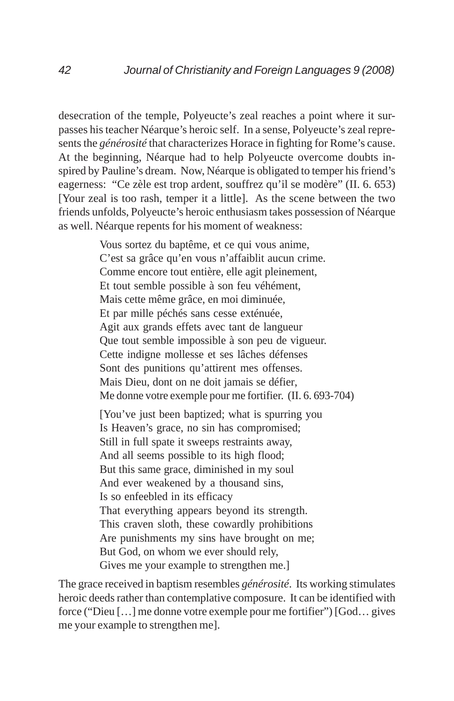desecration of the temple, Polyeucte's zeal reaches a point where it surpasses his teacher Néarque's heroic self. In a sense, Polyeucte's zeal represents the *générosité* that characterizes Horace in fighting for Rome's cause. At the beginning, Néarque had to help Polyeucte overcome doubts inspired by Pauline's dream. Now, Néarque is obligated to temper his friend's eagerness: "Ce zèle est trop ardent, souffrez qu'il se modère" (II. 6. 653) [Your zeal is too rash, temper it a little]. As the scene between the two friends unfolds, Polyeucte's heroic enthusiasm takes possession of Néarque as well. Néarque repents for his moment of weakness:

> Vous sortez du baptême, et ce qui vous anime, C'est sa grâce qu'en vous n'affaiblit aucun crime. Comme encore tout entière, elle agit pleinement, Et tout semble possible à son feu véhément, Mais cette même grâce, en moi diminuée, Et par mille péchés sans cesse exténuée, Agit aux grands effets avec tant de langueur Que tout semble impossible à son peu de vigueur. Cette indigne mollesse et ses lâches défenses Sont des punitions qu'attirent mes offenses. Mais Dieu, dont on ne doit jamais se défier, Me donne votre exemple pour me fortifier. (II. 6. 693-704)

[You've just been baptized; what is spurring you Is Heaven's grace, no sin has compromised; Still in full spate it sweeps restraints away, And all seems possible to its high flood; But this same grace, diminished in my soul And ever weakened by a thousand sins, Is so enfeebled in its efficacy That everything appears beyond its strength. This craven sloth, these cowardly prohibitions Are punishments my sins have brought on me; But God, on whom we ever should rely, Gives me your example to strengthen me.]

The grace received in baptism resembles *générosité*. Its working stimulates heroic deeds rather than contemplative composure. It can be identified with force ("Dieu […] me donne votre exemple pour me fortifier") [God… gives me your example to strengthen me].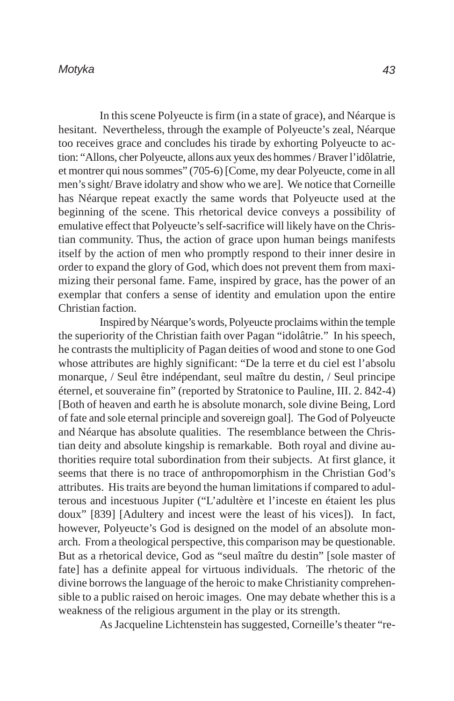In this scene Polyeucte is firm (in a state of grace), and Néarque is hesitant. Nevertheless, through the example of Polyeucte's zeal, Néarque too receives grace and concludes his tirade by exhorting Polyeucte to action: "Allons, cher Polyeucte, allons aux yeux des hommes / Braver l'idôlatrie, et montrer qui nous sommes" (705-6) [Come, my dear Polyeucte, come in all men's sight/ Brave idolatry and show who we are]. We notice that Corneille has Néarque repeat exactly the same words that Polyeucte used at the beginning of the scene. This rhetorical device conveys a possibility of emulative effect that Polyeucte's self-sacrifice will likely have on the Christian community. Thus, the action of grace upon human beings manifests itself by the action of men who promptly respond to their inner desire in order to expand the glory of God, which does not prevent them from maximizing their personal fame. Fame, inspired by grace, has the power of an exemplar that confers a sense of identity and emulation upon the entire Christian faction.

Inspired by Néarque's words, Polyeucte proclaims within the temple the superiority of the Christian faith over Pagan "idolâtrie." In his speech, he contrasts the multiplicity of Pagan deities of wood and stone to one God whose attributes are highly significant: "De la terre et du ciel est l'absolu monarque, / Seul être indépendant, seul maître du destin, / Seul principe éternel, et souveraine fin" (reported by Stratonice to Pauline, III. 2. 842-4) [Both of heaven and earth he is absolute monarch, sole divine Being, Lord of fate and sole eternal principle and sovereign goal]. The God of Polyeucte and Néarque has absolute qualities. The resemblance between the Christian deity and absolute kingship is remarkable. Both royal and divine authorities require total subordination from their subjects. At first glance, it seems that there is no trace of anthropomorphism in the Christian God's attributes. His traits are beyond the human limitations if compared to adulterous and incestuous Jupiter ("L'adultère et l'inceste en étaient les plus doux" [839] [Adultery and incest were the least of his vices]). In fact, however, Polyeucte's God is designed on the model of an absolute monarch. From a theological perspective, this comparison may be questionable. But as a rhetorical device, God as "seul maître du destin" [sole master of fate] has a definite appeal for virtuous individuals. The rhetoric of the divine borrows the language of the heroic to make Christianity comprehensible to a public raised on heroic images. One may debate whether this is a weakness of the religious argument in the play or its strength.

As Jacqueline Lichtenstein has suggested, Corneille's theater "re-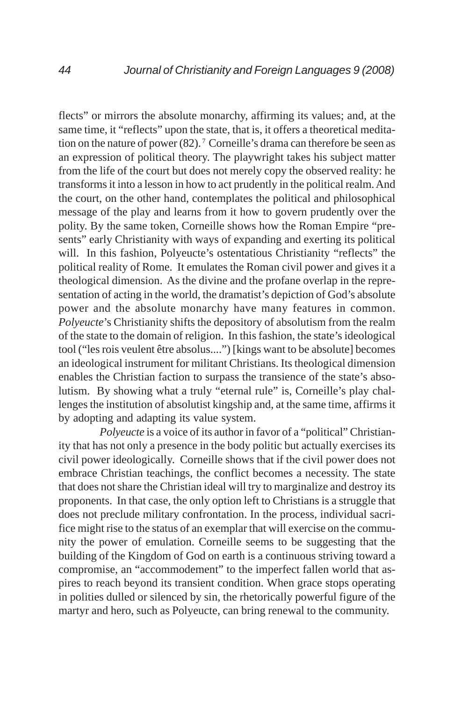flects" or mirrors the absolute monarchy, affirming its values; and, at the same time, it "reflects" upon the state, that is, it offers a theoretical meditation on the nature of power  $(82)$ . <sup>7</sup> Corneille's drama can therefore be seen as an expression of political theory. The playwright takes his subject matter from the life of the court but does not merely copy the observed reality: he transforms it into a lesson in how to act prudently in the political realm. And the court, on the other hand, contemplates the political and philosophical message of the play and learns from it how to govern prudently over the polity. By the same token, Corneille shows how the Roman Empire "presents" early Christianity with ways of expanding and exerting its political will. In this fashion, Polyeucte's ostentatious Christianity "reflects" the political reality of Rome. It emulates the Roman civil power and gives it a theological dimension. As the divine and the profane overlap in the representation of acting in the world, the dramatist's depiction of God's absolute power and the absolute monarchy have many features in common. *Polyeucte*'s Christianity shifts the depository of absolutism from the realm of the state to the domain of religion. In this fashion, the state's ideological tool ("les rois veulent être absolus....") [kings want to be absolute] becomes an ideological instrument for militant Christians. Its theological dimension enables the Christian faction to surpass the transience of the state's absolutism. By showing what a truly "eternal rule" is, Corneille's play challenges the institution of absolutist kingship and, at the same time, affirms it by adopting and adapting its value system.

*Polyeucte* is a voice of its author in favor of a "political" Christianity that has not only a presence in the body politic but actually exercises its civil power ideologically. Corneille shows that if the civil power does not embrace Christian teachings, the conflict becomes a necessity. The state that does not share the Christian ideal will try to marginalize and destroy its proponents. In that case, the only option left to Christians is a struggle that does not preclude military confrontation. In the process, individual sacrifice might rise to the status of an exemplar that will exercise on the community the power of emulation. Corneille seems to be suggesting that the building of the Kingdom of God on earth is a continuous striving toward a compromise, an "accommodement" to the imperfect fallen world that aspires to reach beyond its transient condition. When grace stops operating in polities dulled or silenced by sin, the rhetorically powerful figure of the martyr and hero, such as Polyeucte, can bring renewal to the community.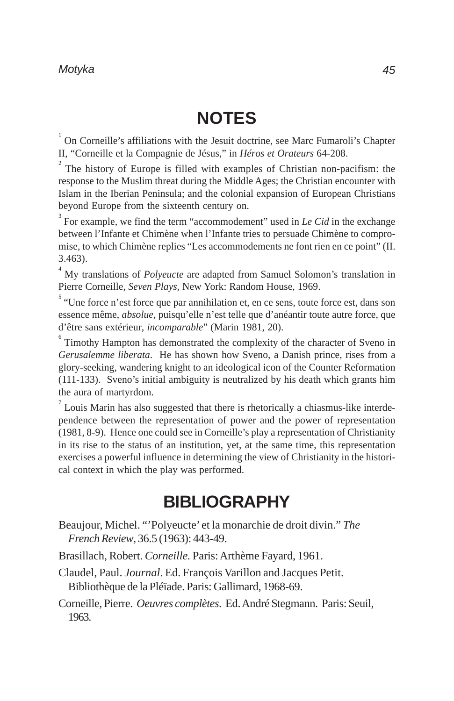# **NOTES**

<sup>1</sup> On Corneille's affiliations with the Jesuit doctrine, see Marc Fumaroli's Chapter II, "Corneille et la Compagnie de Jésus," in *Héros et Orateurs* 64-208.

 $2^{2}$  The history of Europe is filled with examples of Christian non-pacifism: the response to the Muslim threat during the Middle Ages; the Christian encounter with Islam in the Iberian Peninsula; and the colonial expansion of European Christians beyond Europe from the sixteenth century on.

 $3^3$  For example, we find the term "accommodement" used in *Le Cid* in the exchange between l'Infante et Chimène when l'Infante tries to persuade Chimène to compromise, to which Chimène replies "Les accommodements ne font rien en ce point" (II. 3.463).

<sup>4</sup> My translations of *Polyeucte* are adapted from Samuel Solomon's translation in Pierre Corneille, *Seven Plays,* New York: Random House, 1969.

<sup>5</sup> "Une force n'est force que par annihilation et, en ce sens, toute force est, dans son essence même, *absolue*, puisqu'elle n'est telle que d'anéantir toute autre force, que d'être sans extérieur, *incomparable*" (Marin 1981, 20).

 $6$  Timothy Hampton has demonstrated the complexity of the character of Sveno in *Gerusalemme liberata*. He has shown how Sveno, a Danish prince, rises from a glory-seeking, wandering knight to an ideological icon of the Counter Reformation (111-133). Sveno's initial ambiguity is neutralized by his death which grants him the aura of martyrdom.

Louis Marin has also suggested that there is rhetorically a chiasmus-like interdependence between the representation of power and the power of representation (1981, 8-9). Hence one could see in Corneille's play a representation of Christianity in its rise to the status of an institution, yet, at the same time, this representation exercises a powerful influence in determining the view of Christianity in the historical context in which the play was performed.

### **BIBLIOGRAPHY**

- Beaujour, Michel. "'Polyeucte' et la monarchie de droit divin." *The French Review*, 36.5 (1963): 443-49.
- Brasillach, Robert. *Corneille.* Paris: Arthème Fayard, 1961.

Claudel, Paul. *Journal*. Ed. François Varillon and Jacques Petit. Bibliothèque de la Pléïade. Paris: Gallimard, 1968-69.

Corneille, Pierre. *Oeuvres complètes*. Ed. André Stegmann. Paris: Seuil, 1963.